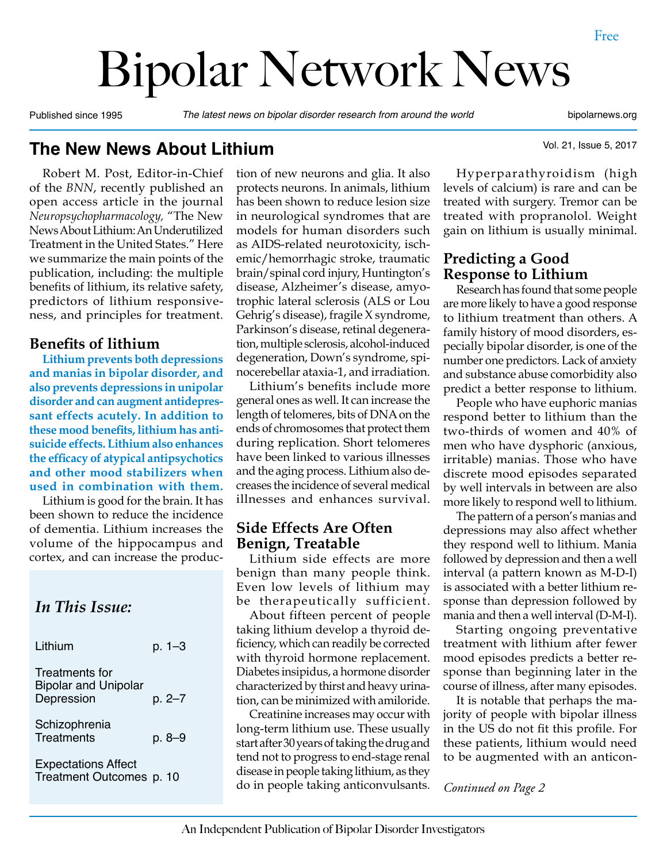# Bipolar Network News

Published since 1995 *The latest news on bipolar disorder research from around the world* bipolarnews.org

Vol. 21, Issue 5, 2017

**The New News About Lithium**

Robert M. Post, Editor-in-Chief of the *BNN*, recently published an open access article in the journal *Neuropsychopharmacology,* "The New News About Lithium: An Underutilized Treatment in the United States." Here we summarize the main points of the publication, including: the multiple benefits of lithium, its relative safety, predictors of lithium responsiveness, and principles for treatment.

#### **Benefits of lithium**

**Lithium prevents both depressions and manias in bipolar disorder, and also prevents depressions in unipolar disorder and can augment antidepressant effects acutely. In addition to these mood benefits, lithium has antisuicide effects. Lithium also enhances the efficacy of atypical antipsychotics and other mood stabilizers when used in combination with them.**

Lithium is good for the brain. It has been shown to reduce the incidence of dementia. Lithium increases the volume of the hippocampus and cortex, and can increase the produc-

## *In This Issue:*

| Lithium                                                     | p. 1–3 |  |
|-------------------------------------------------------------|--------|--|
| Treatments for<br><b>Bipolar and Unipolar</b><br>Depression | p. 2–7 |  |
| Schizophrenia<br><b>Treatments</b>                          | p. 8-9 |  |
| <b>Expectations Affect</b><br>Treatment Outcomes p. 10      |        |  |

tion of new neurons and glia. It also protects neurons. In animals, lithium has been shown to reduce lesion size in neurological syndromes that are models for human disorders such as AIDS-related neurotoxicity, ischemic/hemorrhagic stroke, traumatic brain/spinal cord injury, Huntington's disease, Alzheimer's disease, amyotrophic lateral sclerosis (ALS or Lou Gehrig's disease), fragile X syndrome, Parkinson's disease, retinal degeneration, multiple sclerosis, alcohol-induced degeneration, Down's syndrome, spinocerebellar ataxia-1, and irradiation.

Lithium's benefits include more general ones as well. It can increase the length of telomeres, bits of DNA on the ends of chromosomes that protect them during replication. Short telomeres have been linked to various illnesses and the aging process. Lithium also decreases the incidence of several medical illnesses and enhances survival.

#### **Side Effects Are Often Benign, Treatable**

Lithium side effects are more benign than many people think. Even low levels of lithium may be therapeutically sufficient.

About fifteen percent of people taking lithium develop a thyroid deficiency, which can readily be corrected with thyroid hormone replacement. Diabetes insipidus, a hormone disorder characterized by thirst and heavy urination, can be minimized with amiloride.

Treatment Outcomes p. 10<br>do in people taking anticonvulsants. Continued on Page 2 Creatinine increases may occur with long-term lithium use. These usually start after 30 years of taking the drug and tend not to progress to end-stage renal disease in people taking lithium, as they

Hyperparathyroidism (high levels of calcium) is rare and can be treated with surgery. Tremor can be treated with propranolol. Weight gain on lithium is usually minimal.

#### **Predicting a Good Response to Lithium**

Research has found that some people are more likely to have a good response to lithium treatment than others. A family history of mood disorders, especially bipolar disorder, is one of the number one predictors. Lack of anxiety and substance abuse comorbidity also predict a better response to lithium.

People who have euphoric manias respond better to lithium than the two-thirds of women and 40% of men who have dysphoric (anxious, irritable) manias. Those who have discrete mood episodes separated by well intervals in between are also more likely to respond well to lithium.

The pattern of a person's manias and depressions may also affect whether they respond well to lithium. Mania followed by depression and then a well interval (a pattern known as M-D-I) is associated with a better lithium response than depression followed by mania and then a well interval (D-M-I).

Starting ongoing preventative treatment with lithium after fewer mood episodes predicts a better response than beginning later in the course of illness, after many episodes.

It is notable that perhaps the majority of people with bipolar illness in the US do not fit this profile. For these patients, lithium would need to be augmented with an anticon-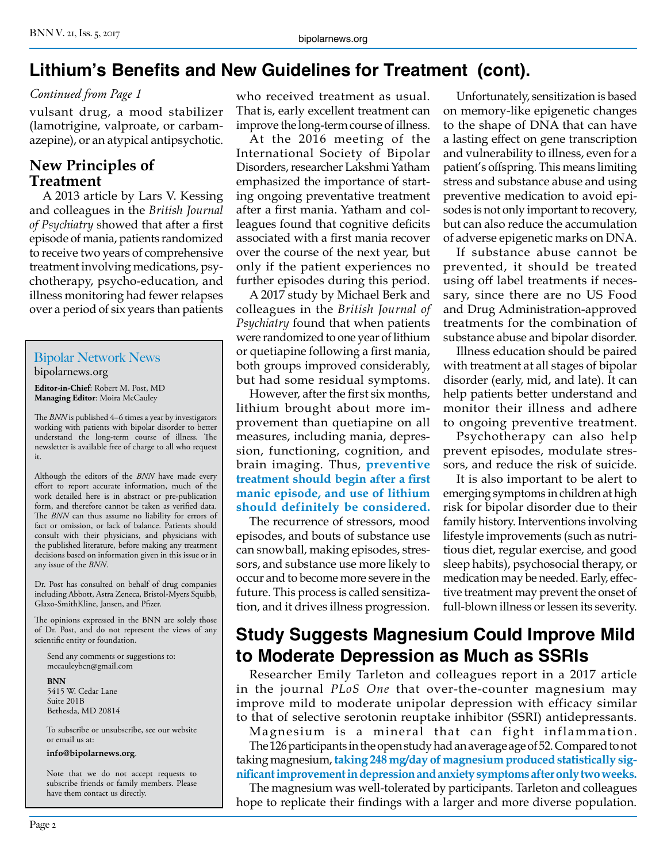## **Lithium's Benefits and New Guidelines for Treatment (cont).**

#### *Continued from Page 1*

vulsant drug, a mood stabilizer (lamotrigine, valproate, or carbamazepine), or an atypical antipsychotic.

#### **New Principles of Treatment**

A 2013 article by Lars V. Kessing and colleagues in the *British Journal of Psychiatry* showed that after a first episode of mania, patients randomized to receive two years of comprehensive treatment involving medications, psychotherapy, psycho-education, and illness monitoring had fewer relapses over a period of six years than patients

#### Bipolar Network News bipolarnews.org

**Editor-in-Chief**: Robert M. Post, MD **Managing Editor**: Moira McCauley

The *BNN* is published 4–6 times a year by investigators working with patients with bipolar disorder to better understand the long-term course of illness. The newsletter is available free of charge to all who request it.

Although the editors of the *BNN* have made every effort to report accurate information, much of the work detailed here is in abstract or pre-publication form, and therefore cannot be taken as verified data. The *BNN* can thus assume no liability for errors of fact or omission, or lack of balance. Patients should consult with their physicians, and physicians with the published literature, before making any treatment decisions based on information given in this issue or in any issue of the *BNN*.

Dr. Post has consulted on behalf of drug companies including Abbott, Astra Zeneca, Bristol-Myers Squibb, Glaxo-SmithKline, Jansen, and Pfizer.

The opinions expressed in the BNN are solely those of Dr. Post, and do not represent the views of any scientific entity or foundation.

Send any comments or suggestions to: mccauleybcn@gmail.com

**BNN**

5415 W. Cedar Lane Suite 201B Bethesda, MD 20814

To subscribe or unsubscribe, see our website or email us at:

**info@bipolarnews.org**.

Note that we do not accept requests to subscribe friends or family members. Please have them contact us directly.

who received treatment as usual. That is, early excellent treatment can improve the long-term course of illness.

At the 2016 meeting of the International Society of Bipolar Disorders, researcher Lakshmi Yatham emphasized the importance of starting ongoing preventative treatment after a first mania. Yatham and colleagues found that cognitive deficits associated with a first mania recover over the course of the next year, but only if the patient experiences no further episodes during this period.

A 2017 study by Michael Berk and colleagues in the *British Journal of Psychiatry* found that when patients were randomized to one year of lithium or quetiapine following a first mania, both groups improved considerably, but had some residual symptoms.

However, after the first six months, lithium brought about more improvement than quetiapine on all measures, including mania, depression, functioning, cognition, and brain imaging. Thus, **preventive treatment should begin after a first manic episode, and use of lithium should definitely be considered.** 

The recurrence of stressors, mood episodes, and bouts of substance use can snowball, making episodes, stressors, and substance use more likely to occur and to become more severe in the future. This process is called sensitization, and it drives illness progression.

Unfortunately, sensitization is based on memory-like epigenetic changes to the shape of DNA that can have a lasting effect on gene transcription and vulnerability to illness, even for a patient's offspring. This means limiting stress and substance abuse and using preventive medication to avoid episodes is not only important to recovery, but can also reduce the accumulation of adverse epigenetic marks on DNA.

If substance abuse cannot be prevented, it should be treated using off label treatments if necessary, since there are no US Food and Drug Administration-approved treatments for the combination of substance abuse and bipolar disorder.

Illness education should be paired with treatment at all stages of bipolar disorder (early, mid, and late). It can help patients better understand and monitor their illness and adhere to ongoing preventive treatment.

Psychotherapy can also help prevent episodes, modulate stressors, and reduce the risk of suicide.

It is also important to be alert to emerging symptoms in children at high risk for bipolar disorder due to their family history. Interventions involving lifestyle improvements (such as nutritious diet, regular exercise, and good sleep habits), psychosocial therapy, or medication may be needed. Early, effective treatment may prevent the onset of full-blown illness or lessen its severity.

# **Study Suggests Magnesium Could Improve Mild to Moderate Depression as Much as SSRIs**

Researcher Emily Tarleton and colleagues report in a 2017 article in the journal *PLoS One* that over-the-counter magnesium may improve mild to moderate unipolar depression with efficacy similar to that of selective serotonin reuptake inhibitor (SSRI) antidepressants.

Magnesium is a mineral that can fight inflammation. The 126 participants in the open study had an average age of 52. Compared to not taking magnesium, **taking 248 mg/day of magnesium produced statistically significant improvement in depression and anxiety symptoms after only two weeks.**

The magnesium was well-tolerated by participants. Tarleton and colleagues hope to replicate their findings with a larger and more diverse population.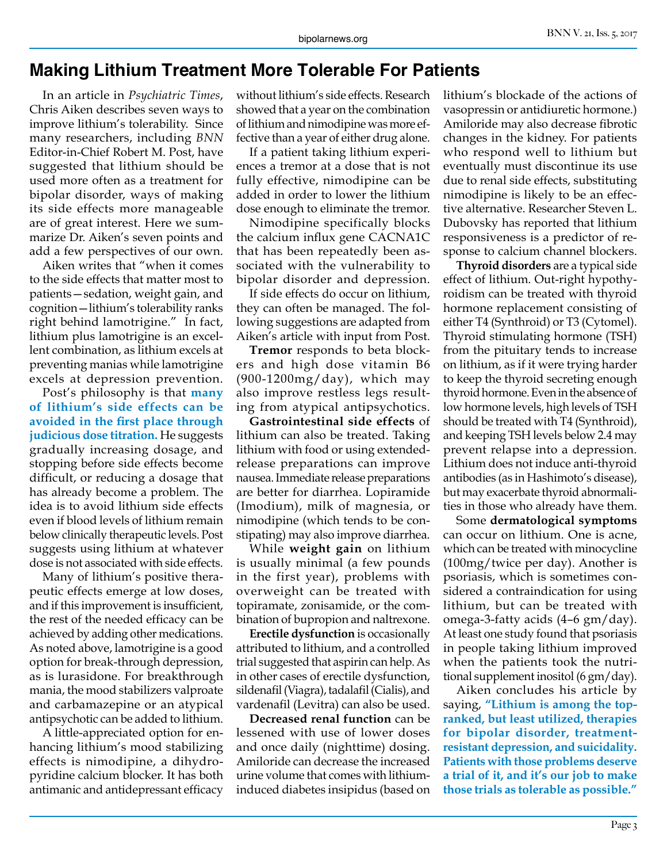## **Making Lithium Treatment More Tolerable For Patients**

In an article in *Psychiatric Times*, Chris Aiken describes seven ways to improve lithium's tolerability. Since many researchers, including *BNN* Editor-in-Chief Robert M. Post, have suggested that lithium should be used more often as a treatment for bipolar disorder, ways of making its side effects more manageable are of great interest. Here we summarize Dr. Aiken's seven points and add a few perspectives of our own.

Aiken writes that "when it comes to the side effects that matter most to patients—sedation, weight gain, and cognition—lithium's tolerability ranks right behind lamotrigine." In fact, lithium plus lamotrigine is an excellent combination, as lithium excels at preventing manias while lamotrigine excels at depression prevention.

Post's philosophy is that **many of lithium's side effects can be avoided in the first place through judicious dose titration.** He suggests gradually increasing dosage, and stopping before side effects become difficult, or reducing a dosage that has already become a problem. The idea is to avoid lithium side effects even if blood levels of lithium remain below clinically therapeutic levels. Post suggests using lithium at whatever dose is not associated with side effects.

Many of lithium's positive therapeutic effects emerge at low doses, and if this improvement is insufficient, the rest of the needed efficacy can be achieved by adding other medications. As noted above, lamotrigine is a good option for break-through depression, as is lurasidone. For breakthrough mania, the mood stabilizers valproate and carbamazepine or an atypical antipsychotic can be added to lithium.

A little-appreciated option for enhancing lithium's mood stabilizing effects is nimodipine, a dihydropyridine calcium blocker. It has both antimanic and antidepressant efficacy without lithium's side effects. Research showed that a year on the combination of lithium and nimodipine was more effective than a year of either drug alone.

If a patient taking lithium experiences a tremor at a dose that is not fully effective, nimodipine can be added in order to lower the lithium dose enough to eliminate the tremor.

Nimodipine specifically blocks the calcium influx gene CACNA1C that has been repeatedly been associated with the vulnerability to bipolar disorder and depression.

If side effects do occur on lithium, they can often be managed. The following suggestions are adapted from Aiken's article with input from Post.

**Tremor** responds to beta blockers and high dose vitamin B6 (900-1200mg/day), which may also improve restless legs resulting from atypical antipsychotics.

**Gastrointestinal side effects** of lithium can also be treated. Taking lithium with food or using extendedrelease preparations can improve nausea. Immediate release preparations are better for diarrhea. Lopiramide (Imodium), milk of magnesia, or nimodipine (which tends to be constipating) may also improve diarrhea.

While **weight gain** on lithium is usually minimal (a few pounds in the first year), problems with overweight can be treated with topiramate, zonisamide, or the combination of bupropion and naltrexone.

**Erectile dysfunction** is occasionally attributed to lithium, and a controlled trial suggested that aspirin can help. As in other cases of erectile dysfunction, sildenafil (Viagra), tadalafil (Cialis), and vardenafil (Levitra) can also be used.

**Decreased renal function** can be lessened with use of lower doses and once daily (nighttime) dosing. Amiloride can decrease the increased urine volume that comes with lithiuminduced diabetes insipidus (based on lithium's blockade of the actions of vasopressin or antidiuretic hormone.) Amiloride may also decrease fibrotic changes in the kidney. For patients who respond well to lithium but eventually must discontinue its use due to renal side effects, substituting nimodipine is likely to be an effective alternative. Researcher Steven L. Dubovsky has reported that lithium responsiveness is a predictor of response to calcium channel blockers.

**Thyroid disorders** are a typical side effect of lithium. Out-right hypothyroidism can be treated with thyroid hormone replacement consisting of either T4 (Synthroid) or T3 (Cytomel). Thyroid stimulating hormone (TSH) from the pituitary tends to increase on lithium, as if it were trying harder to keep the thyroid secreting enough thyroid hormone. Even in the absence of low hormone levels, high levels of TSH should be treated with T4 (Synthroid), and keeping TSH levels below 2.4 may prevent relapse into a depression. Lithium does not induce anti-thyroid antibodies (as in Hashimoto's disease), but may exacerbate thyroid abnormalities in those who already have them.

Some **dermatological symptoms**  can occur on lithium. One is acne, which can be treated with minocycline (100mg/twice per day). Another is psoriasis, which is sometimes considered a contraindication for using lithium, but can be treated with omega-3-fatty acids (4–6 gm/day). At least one study found that psoriasis in people taking lithium improved when the patients took the nutritional supplement inositol (6 gm/day).

Aiken concludes his article by saying, **"Lithium is among the topranked, but least utilized, therapies for bipolar disorder, treatmentresistant depression, and suicidality. Patients with those problems deserve a trial of it, and it's our job to make those trials as tolerable as possible."**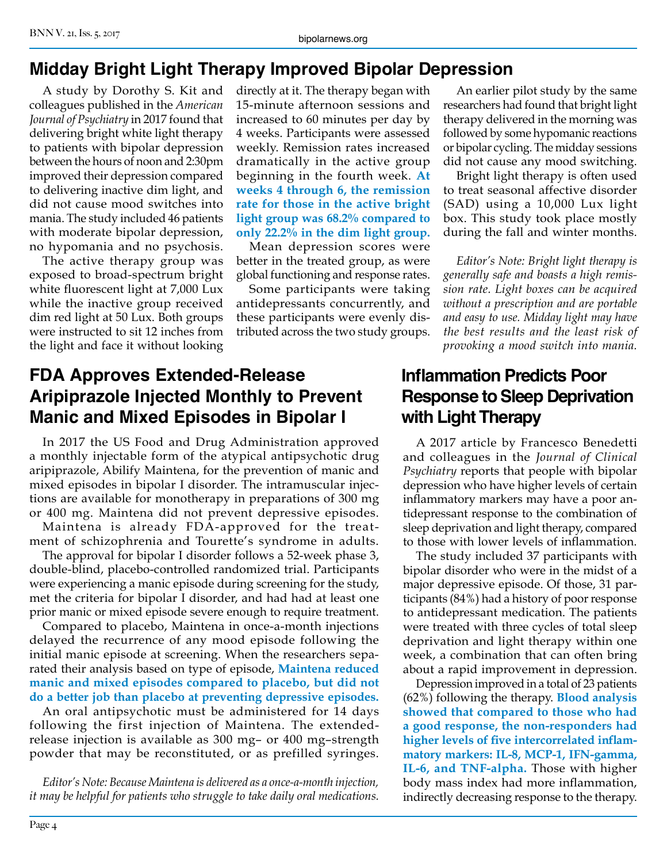# **Midday Bright Light Therapy Improved Bipolar Depression**

A study by Dorothy S. Kit and colleagues published in the *American Journal of Psychiatry* in 2017 found that delivering bright white light therapy to patients with bipolar depression between the hours of noon and 2:30pm improved their depression compared to delivering inactive dim light, and did not cause mood switches into mania. The study included 46 patients with moderate bipolar depression, no hypomania and no psychosis.

The active therapy group was exposed to broad-spectrum bright white fluorescent light at 7,000 Lux while the inactive group received dim red light at 50 Lux. Both groups were instructed to sit 12 inches from the light and face it without looking

directly at it. The therapy began with 15-minute afternoon sessions and increased to 60 minutes per day by 4 weeks. Participants were assessed weekly. Remission rates increased dramatically in the active group beginning in the fourth week. **At weeks 4 through 6, the remission rate for those in the active bright light group was 68.2% compared to only 22.2% in the dim light group.**

Mean depression scores were better in the treated group, as were global functioning and response rates.

Some participants were taking antidepressants concurrently, and these participants were evenly distributed across the two study groups.

## **FDA Approves Extended-Release Aripiprazole Injected Monthly to Prevent Manic and Mixed Episodes in Bipolar I**

In 2017 the US Food and Drug Administration approved a monthly injectable form of the atypical antipsychotic drug aripiprazole, Abilify Maintena, for the prevention of manic and mixed episodes in bipolar I disorder. The intramuscular injections are available for monotherapy in preparations of 300 mg or 400 mg. Maintena did not prevent depressive episodes.

Maintena is already FDA-approved for the treatment of schizophrenia and Tourette's syndrome in adults.

The approval for bipolar I disorder follows a 52-week phase 3, double-blind, placebo-controlled randomized trial. Participants were experiencing a manic episode during screening for the study, met the criteria for bipolar I disorder, and had had at least one prior manic or mixed episode severe enough to require treatment.

Compared to placebo, Maintena in once-a-month injections delayed the recurrence of any mood episode following the initial manic episode at screening. When the researchers separated their analysis based on type of episode, **Maintena reduced manic and mixed episodes compared to placebo, but did not do a better job than placebo at preventing depressive episodes.**

An oral antipsychotic must be administered for 14 days following the first injection of Maintena. The extendedrelease injection is available as 300 mg– or 400 mg–strength powder that may be reconstituted, or as prefilled syringes.

*Editor's Note: Because Maintena is delivered as a once-a-month injection, it may be helpful for patients who struggle to take daily oral medications.*

An earlier pilot study by the same researchers had found that bright light therapy delivered in the morning was followed by some hypomanic reactions or bipolar cycling. The midday sessions did not cause any mood switching.

Bright light therapy is often used to treat seasonal affective disorder (SAD) using a 10,000 Lux light box. This study took place mostly during the fall and winter months.

*Editor's Note: Bright light therapy is generally safe and boasts a high remission rate. Light boxes can be acquired without a prescription and are portable and easy to use. Midday light may have the best results and the least risk of provoking a mood switch into mania.*

# **Inflammation Predicts Poor Response to Sleep Deprivation with Light Therapy**

A 2017 article by Francesco Benedetti and colleagues in the *Journal of Clinical Psychiatry* reports that people with bipolar depression who have higher levels of certain inflammatory markers may have a poor antidepressant response to the combination of sleep deprivation and light therapy, compared to those with lower levels of inflammation.

The study included 37 participants with bipolar disorder who were in the midst of a major depressive episode. Of those, 31 participants (84%) had a history of poor response to antidepressant medication. The patients were treated with three cycles of total sleep deprivation and light therapy within one week, a combination that can often bring about a rapid improvement in depression.

Depression improved in a total of 23 patients (62%) following the therapy. **Blood analysis showed that compared to those who had a good response, the non-responders had higher levels of five intercorrelated inflammatory markers: IL-8, MCP-1, IFN-gamma, IL-6, and TNF-alpha.** Those with higher body mass index had more inflammation, indirectly decreasing response to the therapy.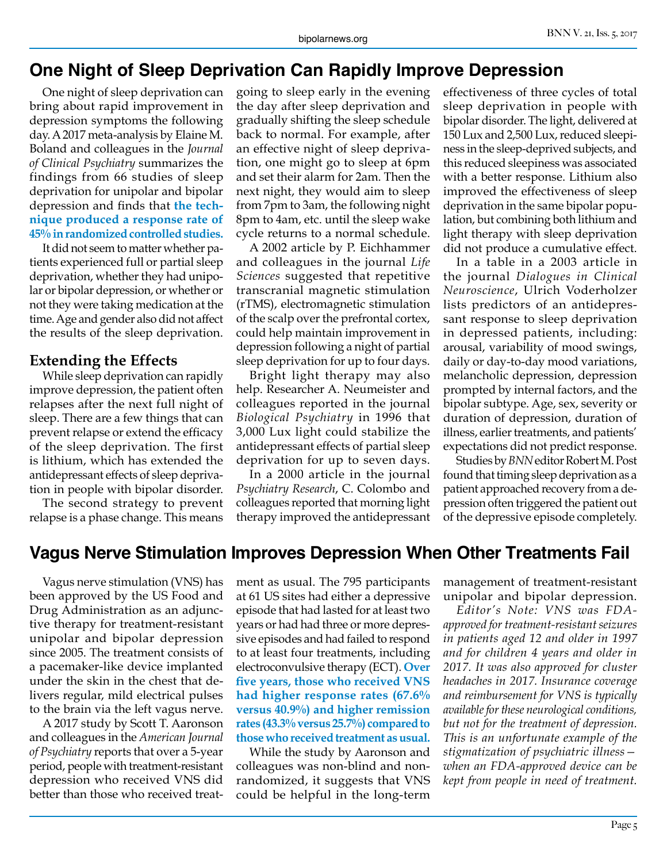## **One Night of Sleep Deprivation Can Rapidly Improve Depression**

One night of sleep deprivation can bring about rapid improvement in depression symptoms the following day. A 2017 meta-analysis by Elaine M. Boland and colleagues in the *Journal of Clinical Psychiatry* summarizes the findings from 66 studies of sleep deprivation for unipolar and bipolar depression and finds that **the technique produced a response rate of 45% in randomized controlled studies.**

It did not seem to matter whether patients experienced full or partial sleep deprivation, whether they had unipolar or bipolar depression, or whether or not they were taking medication at the time. Age and gender also did not affect the results of the sleep deprivation.

#### **Extending the Effects**

While sleep deprivation can rapidly improve depression, the patient often relapses after the next full night of sleep. There are a few things that can prevent relapse or extend the efficacy of the sleep deprivation. The first is lithium, which has extended the antidepressant effects of sleep deprivation in people with bipolar disorder.

The second strategy to prevent relapse is a phase change. This means going to sleep early in the evening the day after sleep deprivation and gradually shifting the sleep schedule back to normal. For example, after an effective night of sleep deprivation, one might go to sleep at 6pm and set their alarm for 2am. Then the next night, they would aim to sleep from 7pm to 3am, the following night 8pm to 4am, etc. until the sleep wake cycle returns to a normal schedule.

A 2002 article by P. Eichhammer and colleagues in the journal *Life Sciences* suggested that repetitive transcranial magnetic stimulation (rTMS), electromagnetic stimulation of the scalp over the prefrontal cortex, could help maintain improvement in depression following a night of partial sleep deprivation for up to four days.

Bright light therapy may also help. Researcher A. Neumeister and colleagues reported in the journal *Biological Psychiatry* in 1996 that 3,000 Lux light could stabilize the antidepressant effects of partial sleep deprivation for up to seven days.

In a 2000 article in the journal *Psychiatry Research*, C. Colombo and colleagues reported that morning light therapy improved the antidepressant effectiveness of three cycles of total sleep deprivation in people with bipolar disorder. The light, delivered at 150 Lux and 2,500 Lux, reduced sleepiness in the sleep-deprived subjects, and this reduced sleepiness was associated with a better response. Lithium also improved the effectiveness of sleep deprivation in the same bipolar population, but combining both lithium and light therapy with sleep deprivation did not produce a cumulative effect.

In a table in a 2003 article in the journal *Dialogues in Clinical Neuroscience*, Ulrich Voderholzer lists predictors of an antidepressant response to sleep deprivation in depressed patients, including: arousal, variability of mood swings, daily or day-to-day mood variations, melancholic depression, depression prompted by internal factors, and the bipolar subtype. Age, sex, severity or duration of depression, duration of illness, earlier treatments, and patients' expectations did not predict response.

Studies by *BNN* editor Robert M. Post found that timing sleep deprivation as a patient approached recovery from a depression often triggered the patient out of the depressive episode completely.

## **Vagus Nerve Stimulation Improves Depression When Other Treatments Fail**

Vagus nerve stimulation (VNS) has been approved by the US Food and Drug Administration as an adjunctive therapy for treatment-resistant unipolar and bipolar depression since 2005. The treatment consists of a pacemaker-like device implanted under the skin in the chest that delivers regular, mild electrical pulses to the brain via the left vagus nerve.

A 2017 study by Scott T. Aaronson and colleagues in the *American Journal of Psychiatry* reports that over a 5-year period, people with treatment-resistant depression who received VNS did better than those who received treatment as usual. The 795 participants at 61 US sites had either a depressive episode that had lasted for at least two years or had had three or more depressive episodes and had failed to respond to at least four treatments, including electroconvulsive therapy (ECT). **Over five years, those who received VNS had higher response rates (67.6% versus 40.9%) and higher remission rates (43.3% versus 25.7%) compared to those who received treatment as usual.**

While the study by Aaronson and colleagues was non-blind and nonrandomized, it suggests that VNS could be helpful in the long-term management of treatment-resistant unipolar and bipolar depression.

*Editor's Note: VNS was FDAapproved for treatment-resistant seizures in patients aged 12 and older in 1997 and for children 4 years and older in 2017. It was also approved for cluster headaches in 2017. Insurance coverage and reimbursement for VNS is typically available for these neurological conditions, but not for the treatment of depression. This is an unfortunate example of the stigmatization of psychiatric illness when an FDA-approved device can be kept from people in need of treatment.*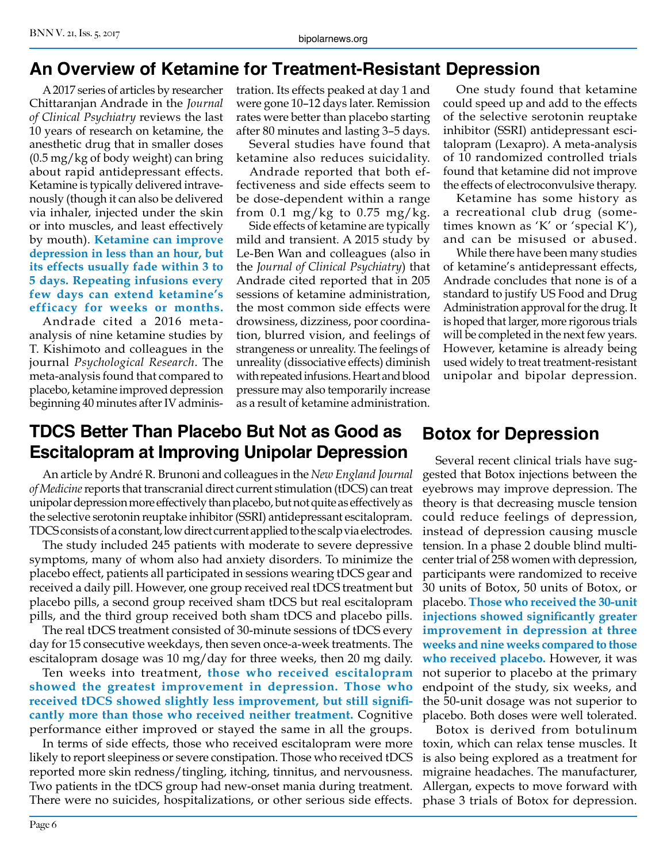# **An Overview of Ketamine for Treatment-Resistant Depression**

A 2017 series of articles by researcher Chittaranjan Andrade in the *Journal of Clinical Psychiatry* reviews the last 10 years of research on ketamine, the anesthetic drug that in smaller doses (0.5 mg/kg of body weight) can bring about rapid antidepressant effects. Ketamine is typically delivered intravenously (though it can also be delivered via inhaler, injected under the skin or into muscles, and least effectively by mouth). **Ketamine can improve depression in less than an hour, but its effects usually fade within 3 to 5 days. Repeating infusions every few days can extend ketamine's efficacy for weeks or months.**

Andrade cited a 2016 metaanalysis of nine ketamine studies by T. Kishimoto and colleagues in the journal *Psychological Research*. The meta-analysis found that compared to placebo, ketamine improved depression beginning 40 minutes after IV administration. Its effects peaked at day 1 and were gone 10–12 days later. Remission rates were better than placebo starting after 80 minutes and lasting 3–5 days.

Several studies have found that ketamine also reduces suicidality.

Andrade reported that both effectiveness and side effects seem to be dose-dependent within a range from 0.1 mg/kg to 0.75 mg/kg.

Side effects of ketamine are typically mild and transient. A 2015 study by Le-Ben Wan and colleagues (also in the *Journal of Clinical Psychiatry*) that Andrade cited reported that in 205 sessions of ketamine administration, the most common side effects were drowsiness, dizziness, poor coordination, blurred vision, and feelings of strangeness or unreality. The feelings of unreality (dissociative effects) diminish with repeated infusions. Heart and blood pressure may also temporarily increase as a result of ketamine administration.

One study found that ketamine could speed up and add to the effects of the selective serotonin reuptake inhibitor (SSRI) antidepressant escitalopram (Lexapro). A meta-analysis of 10 randomized controlled trials found that ketamine did not improve the effects of electroconvulsive therapy.

Ketamine has some history as a recreational club drug (sometimes known as 'K' or 'special K'), and can be misused or abused.

While there have been many studies of ketamine's antidepressant effects, Andrade concludes that none is of a standard to justify US Food and Drug Administration approval for the drug. It is hoped that larger, more rigorous trials will be completed in the next few years. However, ketamine is already being used widely to treat treatment-resistant unipolar and bipolar depression.

# **TDCS Better Than Placebo But Not as Good as Escitalopram at Improving Unipolar Depression**

An article by André R. Brunoni and colleagues in the *New England Journal of Medicine* reports that transcranial direct current stimulation (tDCS) can treat unipolar depression more effectively than placebo, but not quite as effectively as the selective serotonin reuptake inhibitor (SSRI) antidepressant escitalopram. TDCS consists of a constant, low direct current applied to the scalp via electrodes.

The study included 245 patients with moderate to severe depressive symptoms, many of whom also had anxiety disorders. To minimize the placebo effect, patients all participated in sessions wearing tDCS gear and received a daily pill. However, one group received real tDCS treatment but placebo pills, a second group received sham tDCS but real escitalopram pills, and the third group received both sham tDCS and placebo pills.

The real tDCS treatment consisted of 30-minute sessions of tDCS every day for 15 consecutive weekdays, then seven once-a-week treatments. The escitalopram dosage was 10 mg/day for three weeks, then 20 mg daily.

Ten weeks into treatment, **those who received escitalopram showed the greatest improvement in depression. Those who received tDCS showed slightly less improvement, but still significantly more than those who received neither treatment.** Cognitive performance either improved or stayed the same in all the groups.

In terms of side effects, those who received escitalopram were more likely to report sleepiness or severe constipation. Those who received tDCS reported more skin redness/tingling, itching, tinnitus, and nervousness. Two patients in the tDCS group had new-onset mania during treatment. There were no suicides, hospitalizations, or other serious side effects.

## **Botox for Depression**

Several recent clinical trials have suggested that Botox injections between the eyebrows may improve depression. The theory is that decreasing muscle tension could reduce feelings of depression, instead of depression causing muscle tension. In a phase 2 double blind multicenter trial of 258 women with depression, participants were randomized to receive 30 units of Botox, 50 units of Botox, or placebo. **Those who received the 30-unit injections showed significantly greater improvement in depression at three weeks and nine weeks compared to those who received placebo.** However, it was not superior to placebo at the primary endpoint of the study, six weeks, and the 50-unit dosage was not superior to placebo. Both doses were well tolerated.

Botox is derived from botulinum toxin, which can relax tense muscles. It is also being explored as a treatment for migraine headaches. The manufacturer, Allergan, expects to move forward with phase 3 trials of Botox for depression.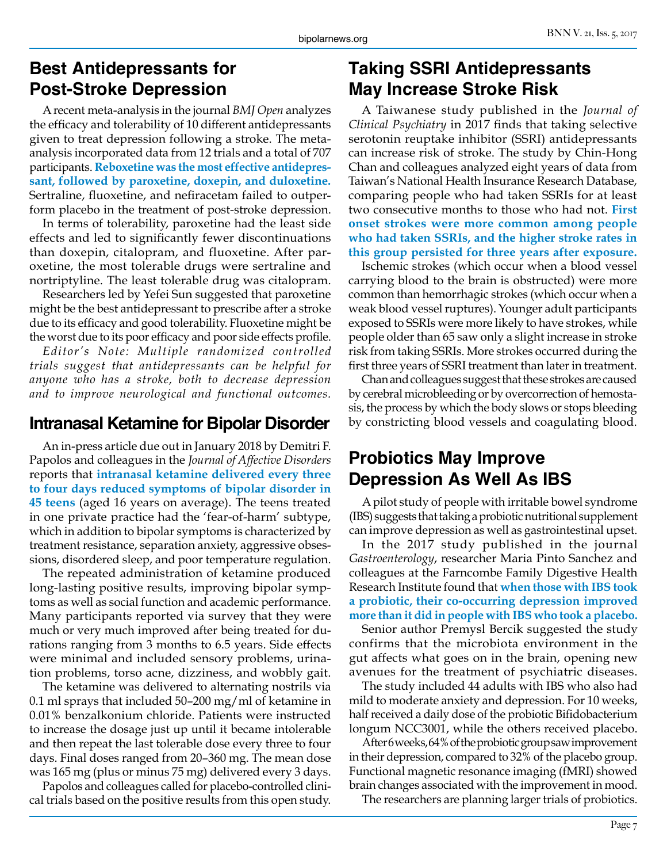## **Best Antidepressants for Post-Stroke Depression**

A recent meta-analysis in the journal *BMJ Open* analyzes the efficacy and tolerability of 10 different antidepressants given to treat depression following a stroke. The metaanalysis incorporated data from 12 trials and a total of 707 participants. **Reboxetine was the most effective antidepressant, followed by paroxetine, doxepin, and duloxetine.**  Sertraline, fluoxetine, and nefiracetam failed to outperform placebo in the treatment of post-stroke depression.

In terms of tolerability, paroxetine had the least side effects and led to significantly fewer discontinuations than doxepin, citalopram, and fluoxetine. After paroxetine, the most tolerable drugs were sertraline and nortriptyline. The least tolerable drug was citalopram.

Researchers led by Yefei Sun suggested that paroxetine might be the best antidepressant to prescribe after a stroke due to its efficacy and good tolerability. Fluoxetine might be the worst due to its poor efficacy and poor side effects profile.

*Editor's Note: Multiple randomized controlled trials suggest that antidepressants can be helpful for anyone who has a stroke, both to decrease depression and to improve neurological and functional outcomes.* 

## **Intranasal Ketamine for Bipolar Disorder** by constricting blood vessels and coagulating blood.

An in-press article due out in January 2018 by Demitri F. Papolos and colleagues in the *Journal of Affective Disorders* reports that **intranasal ketamine delivered every three to four days reduced symptoms of bipolar disorder in 45 teens** (aged 16 years on average). The teens treated in one private practice had the 'fear-of-harm' subtype, which in addition to bipolar symptoms is characterized by treatment resistance, separation anxiety, aggressive obsessions, disordered sleep, and poor temperature regulation.

The repeated administration of ketamine produced long-lasting positive results, improving bipolar symptoms as well as social function and academic performance. Many participants reported via survey that they were much or very much improved after being treated for durations ranging from 3 months to 6.5 years. Side effects were minimal and included sensory problems, urination problems, torso acne, dizziness, and wobbly gait.

The ketamine was delivered to alternating nostrils via 0.1 ml sprays that included 50–200 mg/ml of ketamine in 0.01% benzalkonium chloride. Patients were instructed to increase the dosage just up until it became intolerable and then repeat the last tolerable dose every three to four days. Final doses ranged from 20–360 mg. The mean dose was 165 mg (plus or minus 75 mg) delivered every 3 days.

Papolos and colleagues called for placebo-controlled clinical trials based on the positive results from this open study.

## **Taking SSRI Antidepressants May Increase Stroke Risk**

A Taiwanese study published in the *Journal of Clinical Psychiatry* in 2017 finds that taking selective serotonin reuptake inhibitor (SSRI) antidepressants can increase risk of stroke. The study by Chin-Hong Chan and colleagues analyzed eight years of data from Taiwan's National Health Insurance Research Database, comparing people who had taken SSRIs for at least two consecutive months to those who had not. **First onset strokes were more common among people who had taken SSRIs, and the higher stroke rates in this group persisted for three years after exposure.**

Ischemic strokes (which occur when a blood vessel carrying blood to the brain is obstructed) were more common than hemorrhagic strokes (which occur when a weak blood vessel ruptures). Younger adult participants exposed to SSRIs were more likely to have strokes, while people older than 65 saw only a slight increase in stroke risk from taking SSRIs. More strokes occurred during the first three years of SSRI treatment than later in treatment.

Chan and colleagues suggest that these strokes are caused by cerebral microbleeding or by overcorrection of hemostasis, the process by which the body slows or stops bleeding

## **Probiotics May Improve Depression As Well As IBS**

A pilot study of people with irritable bowel syndrome (IBS) suggests that taking a probiotic nutritional supplement can improve depression as well as gastrointestinal upset.

In the 2017 study published in the journal *Gastroenterology*, researcher Maria Pinto Sanchez and colleagues at the Farncombe Family Digestive Health Research Institute found that **when those with IBS took a probiotic, their co-occurring depression improved more than it did in people with IBS who took a placebo.**

Senior author Premysl Bercik suggested the study confirms that the microbiota environment in the gut affects what goes on in the brain, opening new avenues for the treatment of psychiatric diseases.

The study included 44 adults with IBS who also had mild to moderate anxiety and depression. For 10 weeks, half received a daily dose of the probiotic Bifidobacterium longum NCC3001, while the others received placebo.

After 6 weeks, 64% of the probiotic group saw improvement in their depression, compared to 32% of the placebo group. Functional magnetic resonance imaging (fMRI) showed brain changes associated with the improvement in mood.

The researchers are planning larger trials of probiotics.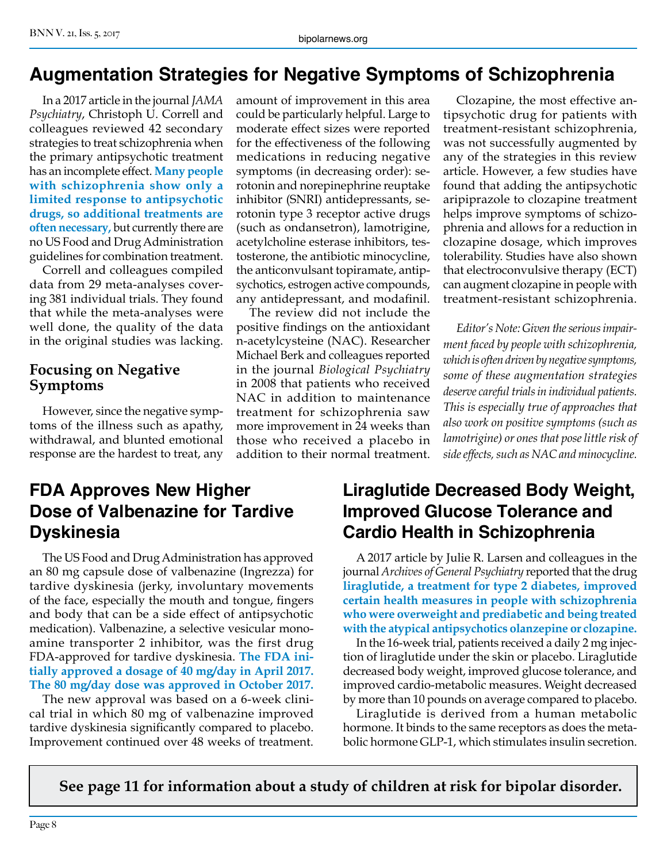# **Augmentation Strategies for Negative Symptoms of Schizophrenia**

In a 2017 article in the journal *JAMA Psychiatry*, Christoph U. Correll and colleagues reviewed 42 secondary strategies to treat schizophrenia when the primary antipsychotic treatment has an incomplete effect. **Many people with schizophrenia show only a limited response to antipsychotic drugs, so additional treatments are often necessary,** but currently there are no US Food and Drug Administration guidelines for combination treatment.

Correll and colleagues compiled data from 29 meta-analyses covering 381 individual trials. They found that while the meta-analyses were well done, the quality of the data in the original studies was lacking.

#### **Focusing on Negative Symptoms**

However, since the negative symptoms of the illness such as apathy, withdrawal, and blunted emotional response are the hardest to treat, any amount of improvement in this area could be particularly helpful. Large to moderate effect sizes were reported for the effectiveness of the following medications in reducing negative symptoms (in decreasing order): serotonin and norepinephrine reuptake inhibitor (SNRI) antidepressants, serotonin type 3 receptor active drugs (such as ondansetron), lamotrigine, acetylcholine esterase inhibitors, testosterone, the antibiotic minocycline, the anticonvulsant topiramate, antipsychotics, estrogen active compounds, any antidepressant, and modafinil.

The review did not include the positive findings on the antioxidant n-acetylcysteine (NAC). Researcher Michael Berk and colleagues reported in the journal *Biological Psychiatry*  in 2008 that patients who received NAC in addition to maintenance treatment for schizophrenia saw more improvement in 24 weeks than those who received a placebo in addition to their normal treatment.

Clozapine, the most effective antipsychotic drug for patients with treatment-resistant schizophrenia, was not successfully augmented by any of the strategies in this review article. However, a few studies have found that adding the antipsychotic aripiprazole to clozapine treatment helps improve symptoms of schizophrenia and allows for a reduction in clozapine dosage, which improves tolerability. Studies have also shown that electroconvulsive therapy (ECT) can augment clozapine in people with treatment-resistant schizophrenia.

*Editor's Note: Given the serious impairment faced by people with schizophrenia, which is often driven by negative symptoms, some of these augmentation strategies deserve careful trials in individual patients. This is especially true of approaches that also work on positive symptoms (such as lamotrigine) or ones that pose little risk of side effects, such as NAC and minocycline.* 

# **FDA Approves New Higher Dose of Valbenazine for Tardive Dyskinesia**

The US Food and Drug Administration has approved an 80 mg capsule dose of valbenazine (Ingrezza) for tardive dyskinesia (jerky, involuntary movements of the face, especially the mouth and tongue, fingers and body that can be a side effect of antipsychotic medication). Valbenazine, a selective vesicular monoamine transporter 2 inhibitor, was the first drug FDA-approved for tardive dyskinesia. **The FDA initially approved a dosage of 40 mg/day in April 2017. The 80 mg/day dose was approved in October 2017.**

The new approval was based on a 6-week clinical trial in which 80 mg of valbenazine improved tardive dyskinesia significantly compared to placebo. Improvement continued over 48 weeks of treatment.

# **Liraglutide Decreased Body Weight, Improved Glucose Tolerance and Cardio Health in Schizophrenia**

A 2017 article by Julie R. Larsen and colleagues in the journal *Archives of General Psychiatry* reported that the drug **liraglutide, a treatment for type 2 diabetes, improved certain health measures in people with schizophrenia who were overweight and prediabetic and being treated with the atypical antipsychotics olanzepine or clozapine.**

In the 16-week trial, patients received a daily 2 mg injection of liraglutide under the skin or placebo. Liraglutide decreased body weight, improved glucose tolerance, and improved cardio-metabolic measures. Weight decreased by more than 10 pounds on average compared to placebo.

Liraglutide is derived from a human metabolic hormone. It binds to the same receptors as does the metabolic hormone GLP-1, which stimulates insulin secretion.

**See page 11 for information about a study of children at risk for bipolar disorder.**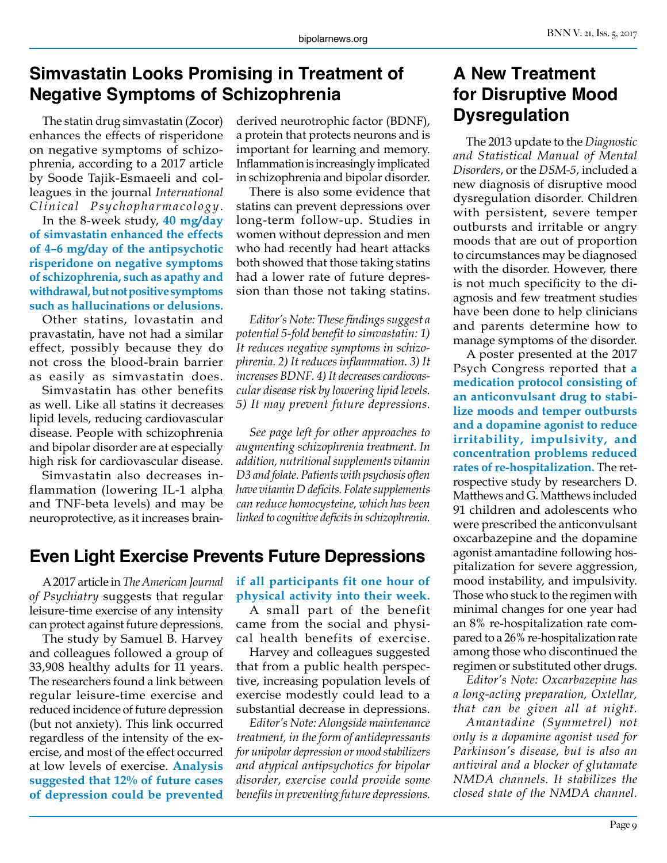## **Simvastatin Looks Promising in Treatment of Negative Symptoms of Schizophrenia**

The statin drug simvastatin (Zocor) enhances the effects of risperidone on negative symptoms of schizophrenia, according to a 2017 article by Soode Tajik-Esmaeeli and colleagues in the journal *International Clinical Psychopharmacology*.

In the 8-week study, **40 mg/day of simvastatin enhanced the effects of 4–6 mg/day of the antipsychotic risperidone on negative symptoms of schizophrenia, such as apathy and withdrawal, but not positive symptoms such as hallucinations or delusions.** 

Other statins, lovastatin and pravastatin, have not had a similar effect, possibly because they do not cross the blood-brain barrier as easily as simvastatin does.

Simvastatin has other benefits as well. Like all statins it decreases lipid levels, reducing cardiovascular disease. People with schizophrenia and bipolar disorder are at especially high risk for cardiovascular disease.

Simvastatin also decreases inflammation (lowering IL-1 alpha and TNF-beta levels) and may be neuroprotective, as it increases brainderived neurotrophic factor (BDNF), a protein that protects neurons and is important for learning and memory. Inflammation is increasingly implicated in schizophrenia and bipolar disorder.

There is also some evidence that statins can prevent depressions over long-term follow-up. Studies in women without depression and men who had recently had heart attacks both showed that those taking statins had a lower rate of future depression than those not taking statins.

*Editor's Note: These findings suggest a potential 5-fold benefit to simvastatin: 1) It reduces negative symptoms in schizophrenia. 2) It reduces inflammation. 3) It increases BDNF. 4) It decreases cardiovascular disease risk by lowering lipid levels. 5) It may prevent future depressions.*

*See page left for other approaches to augmenting schizophrenia treatment. In addition, nutritional supplements vitamin D3 and folate. Patients with psychosis often have vitamin D deficits. Folate supplements can reduce homocysteine, which has been linked to cognitive deficits in schizophrenia.* 

# **Even Light Exercise Prevents Future Depressions**

A 2017 article in *The American Journal of Psychiatry* suggests that regular leisure-time exercise of any intensity can protect against future depressions.

The study by Samuel B. Harvey and colleagues followed a group of 33,908 healthy adults for 11 years. The researchers found a link between regular leisure-time exercise and reduced incidence of future depression (but not anxiety). This link occurred regardless of the intensity of the exercise, and most of the effect occurred at low levels of exercise. **Analysis suggested that 12% of future cases of depression could be prevented** 

#### **if all participants fit one hour of physical activity into their week.**

A small part of the benefit came from the social and physical health benefits of exercise.

Harvey and colleagues suggested that from a public health perspective, increasing population levels of exercise modestly could lead to a substantial decrease in depressions.

*Editor's Note: Alongside maintenance treatment, in the form of antidepressants for unipolar depression or mood stabilizers and atypical antipsychotics for bipolar disorder, exercise could provide some benefits in preventing future depressions.*

# **A New Treatment for Disruptive Mood Dysregulation**

The 2013 update to the *Diagnostic and Statistical Manual of Mental Disorders*, or the *DSM-5*, included a new diagnosis of disruptive mood dysregulation disorder. Children with persistent, severe temper outbursts and irritable or angry moods that are out of proportion to circumstances may be diagnosed with the disorder. However, there is not much specificity to the diagnosis and few treatment studies have been done to help clinicians and parents determine how to manage symptoms of the disorder.

A poster presented at the 2017 Psych Congress reported that **a medication protocol consisting of an anticonvulsant drug to stabilize moods and temper outbursts and a dopamine agonist to reduce irritability, impulsivity, and concentration problems reduced rates of re-hospitalization.** The retrospective study by researchers D. Matthews and G. Matthews included 91 children and adolescents who were prescribed the anticonvulsant oxcarbazepine and the dopamine agonist amantadine following hospitalization for severe aggression, mood instability, and impulsivity. Those who stuck to the regimen with minimal changes for one year had an 8% re-hospitalization rate compared to a 26% re-hospitalization rate among those who discontinued the regimen or substituted other drugs.

*Editor's Note: Oxcarbazepine has a long-acting preparation, Oxtellar, that can be given all at night.*

*Amantadine (Symmetrel) not only is a dopamine agonist used for Parkinson's disease, but is also an antiviral and a blocker of glutamate NMDA channels. It stabilizes the closed state of the NMDA channel.*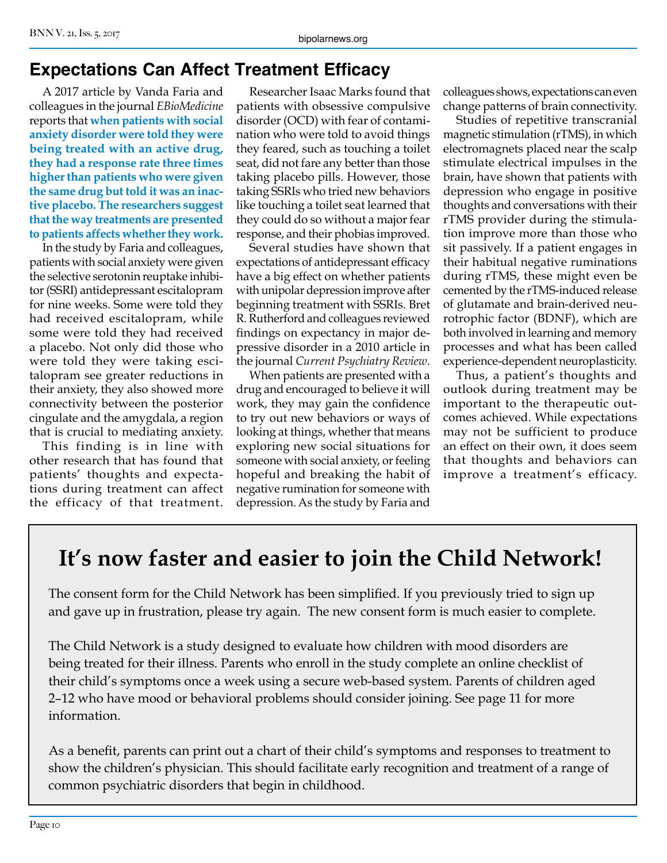## **Expectations Can Affect Treatment Efficacy**

A 2017 article by Vanda Faria and colleagues in the journal *EBioMedicine*  reports that **when patients with social anxiety disorder were told they were being treated with an active drug, they had a response rate three times higher than patients who were given the same drug but told it was an inactive placebo. The researchers suggest that the way treatments are presented to patients affects whether they work.**

In the study by Faria and colleagues, patients with social anxiety were given the selective serotonin reuptake inhibitor (SSRI) antidepressant escitalopram for nine weeks. Some were told they had received escitalopram, while some were told they had received a placebo. Not only did those who were told they were taking escitalopram see greater reductions in their anxiety, they also showed more connectivity between the posterior cingulate and the amygdala, a region that is crucial to mediating anxiety.

This finding is in line with other research that has found that patients' thoughts and expectations during treatment can affect the efficacy of that treatment.

Researcher Isaac Marks found that patients with obsessive compulsive disorder (OCD) with fear of contamination who were told to avoid things they feared, such as touching a toilet seat, did not fare any better than those taking placebo pills. However, those taking SSRIs who tried new behaviors like touching a toilet seat learned that they could do so without a major fear response, and their phobias improved.

Several studies have shown that expectations of antidepressant efficacy have a big effect on whether patients with unipolar depression improve after beginning treatment with SSRIs. Bret R. Rutherford and colleagues reviewed findings on expectancy in major depressive disorder in a 2010 article in the journal *Current Psychiatry Review*.

When patients are presented with a drug and encouraged to believe it will work, they may gain the confidence to try out new behaviors or ways of looking at things, whether that means exploring new social situations for someone with social anxiety, or feeling hopeful and breaking the habit of negative rumination for someone with depression. As the study by Faria and

colleagues shows, expectations can even change patterns of brain connectivity.

Studies of repetitive transcranial magnetic stimulation (rTMS), in which electromagnets placed near the scalp stimulate electrical impulses in the brain, have shown that patients with depression who engage in positive thoughts and conversations with their rTMS provider during the stimulation improve more than those who sit passively. If a patient engages in their habitual negative ruminations during rTMS, these might even be cemented by the rTMS-induced release of glutamate and brain-derived neurotrophic factor (BDNF), which are both involved in learning and memory processes and what has been called experience-dependent neuroplasticity.

Thus, a patient's thoughts and outlook during treatment may be important to the therapeutic outcomes achieved. While expectations may not be sufficient to produce an effect on their own, it does seem that thoughts and behaviors can improve a treatment's efficacy.

# **It's now faster and easier to join the Child Network!**

The consent form for the Child Network has been simplified. If you previously tried to sign up and gave up in frustration, please try again. The new consent form is much easier to complete.

The Child Network is a study designed to evaluate how children with mood disorders are being treated for their illness. Parents who enroll in the study complete an online checklist of their child's symptoms once a week using a secure web-based system. Parents of children aged 2–12 who have mood or behavioral problems should consider joining. See page 11 for more information.

As a benefit, parents can print out a chart of their child's symptoms and responses to treatment to show the children's physician. This should facilitate early recognition and treatment of a range of common psychiatric disorders that begin in childhood.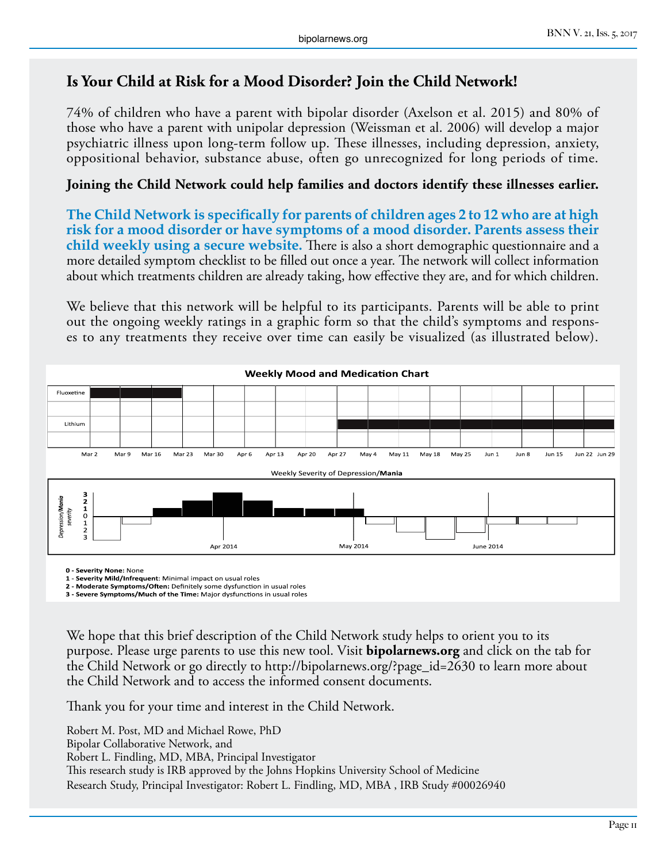### **Is Your Child at Risk for a Mood Disorder? Join the Child Network!**

74% of children who have a parent with bipolar disorder (Axelson et al. 2015) and 80% of those who have a parent with unipolar depression (Weissman et al. 2006) will develop a major psychiatric illness upon long-term follow up. These illnesses, including depression, anxiety, oppositional behavior, substance abuse, often go unrecognized for long periods of time.

#### **Joining the Child Network could help families and doctors identify these illnesses earlier.**

**The Child Network is specifically for parents of children ages 2 to 12 who are at high risk for a mood disorder or have symptoms of a mood disorder. Parents assess their child weekly using a secure website.** There is also a short demographic questionnaire and a more detailed symptom checklist to be filled out once a year. The network will collect information about which treatments children are already taking, how effective they are, and for which children.

We believe that this network will be helpful to its participants. Parents will be able to print out the ongoing weekly ratings in a graphic form so that the child's symptoms and responses to any treatments they receive over time can easily be visualized (as illustrated below).



**0 - Severity None:** None

**1 - Severity Mild/Infrequent**: Minimal impact on usual roles

**2 - Moderate Symptoms/Often:** Definitely some dysfunction in usual roles **3 - Severe Symptoms/Much of the Time:** Major dysfunctions in usual roles

We hope that this brief description of the Child Network study helps to orient you to its purpose. Please urge parents to use this new tool. Visit **bipolarnews.org** and click on the tab for the Child Network or go directly to http://bipolarnews.org/?page\_id=2630 to learn more about the Child Network and to access the informed consent documents.

Thank you for your time and interest in the Child Network.

Robert M. Post, MD and Michael Rowe, PhD Bipolar Collaborative Network, and Robert L. Findling, MD, MBA, Principal Investigator This research study is IRB approved by the Johns Hopkins University School of Medicine Research Study, Principal Investigator: Robert L. Findling, MD, MBA , IRB Study #00026940